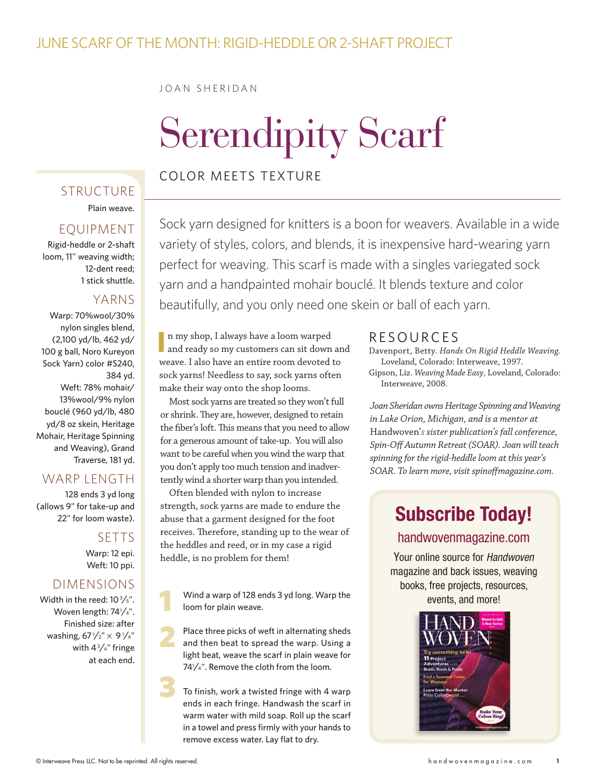#### JUne Scarf of the Month: Rigid-Heddle or 2-shaft project

#### JOAN SHERIDAN

# Serendipity Scarf

#### Color meets texture

### **STRUCTURE**

Plain weave.

#### **EQUIPMENT**

Rigid-heddle or 2-shaft loom, 11" weaving width; 12-dent reed; 1 stick shuttle.

#### YARNS

Warp: 70%wool/30% nylon singles blend, (2,100 yd/lb, 462 yd/ 100 g ball, Noro Kureyon Sock Yarn) color #S240, 384 yd. Weft: 78% mohair/ 13%wool/9% nylon bouclé (960 yd/lb, 480 yd/8 oz skein, Heritage Mohair, Heritage Spinning and Weaving), Grand Traverse, 181 yd.

#### WARP I FNGTH

128 ends 3 yd long (allows 9" for take-up and 22" for loom waste).

> **SETTS** Warp: 12 epi. Weft: 10 ppi.

#### dimensions

Width in the reed:  $10\frac{3}{5}$ ". Woven length: 74<sup>1</sup>/4". Finished size: after washing, 67 $\frac{1}{2}$ "  $\times$  9 $\frac{1}{4}$ " with  $4\frac{3}{4}$ " fringe at each end.

Sock yarn designed for knitters is a boon for weavers. Available in a wide variety of styles, colors, and blends, it is inexpensive hard-wearing yarn perfect for weaving. This scarf is made with a singles variegated sock yarn and a handpainted mohair bouclé. It blends texture and color beautifully, and you only need one skein or ball of each yarn.

**I** n my shop, I always have a loom warped and ready so my customers can sit down and weave. I also have an entire room devoted to sock yarns! Needless to say, sock yarns often make their way onto the shop looms.

Most sock yarns are treated so they won't full or shrink. They are, however, designed to retain the fiber's loft. This means that you need to allow for a generous amount of take-up. You will also want to be careful when you wind the warp that you don't apply too much tension and inadvertently wind a shorter warp than you intended.

Often blended with nylon to increase strength, sock yarns are made to endure the abuse that a garment designed for the foot receives. Therefore, standing up to the wear of the heddles and reed, or in my case a rigid heddle, is no problem for them!

Wind a warp of 128 ends 3 yd long. Warp the loom for plain weave. 1

Place three picks of weft in alternating sheds and then beat to spread the warp. Using a light beat, weave the scarf in plain weave for 741 ⁄4". Remove the cloth from the loom. 2 3

To finish, work a twisted fringe with 4 warp ends in each fringe. Handwash the scarf in warm water with mild soap. Roll up the scarf in a towel and press firmly with your hands to remove excess water. Lay flat to dry.

#### Resource s

Davenport, Betty. *Hands On Rigid Heddle Weaving.*  Loveland, Colorado: Interweave, 1997.

Gipson, Liz. *Weaving Made Easy*, Loveland, Colorado: Interweave, 2008.

*Joan Sheridan owns Heritage Spinning and Weaving in Lake Orion, Michigan, and is a mentor at*  Handwoven'*s sister publication's fall conference, Spin-Off Autumn Retreat (SOAR). Joan will teach spinning for the rigid-heddle loom at this year's SOAR. To learn more, visit spinoffmagazine.com.*

## **Subscribe Today!**

#### handwovenmagazine.com

Your online source for *Handwoven* magazine and back issues, weaving books, free projects, resources, events, and more!